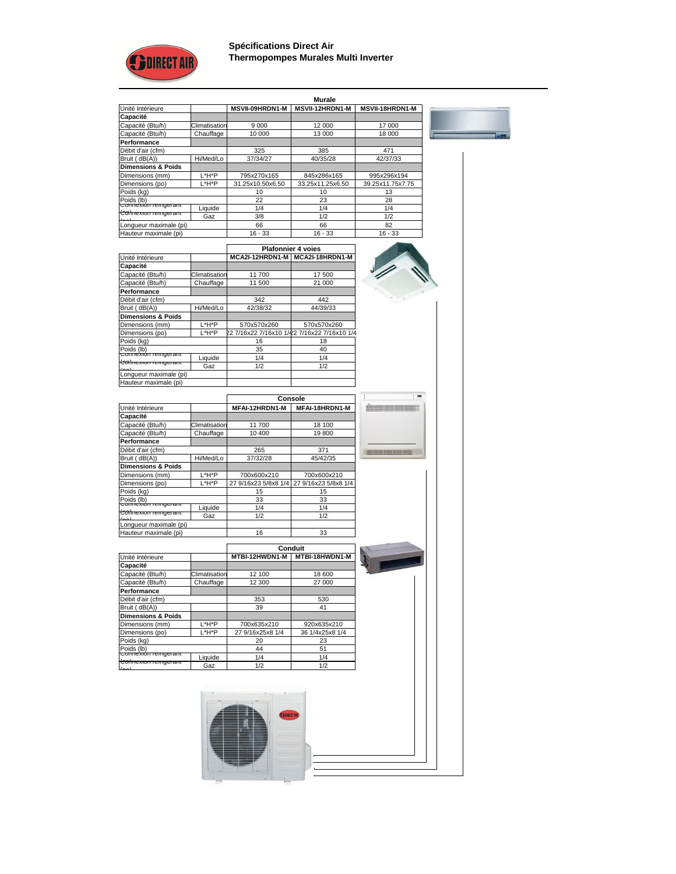

**Spécifications Direct Air Thermopompes Murales Multi Inverter**

|                                          |               |                        | <b>Murale</b>          |                        |
|------------------------------------------|---------------|------------------------|------------------------|------------------------|
| Unité Intérieure                         |               | <b>MSVII-09HRDN1-M</b> | <b>MSVII-12HRDN1-M</b> | <b>MSVII-18HRDN1-M</b> |
| <b>Capacité</b>                          |               |                        |                        |                        |
| Capacité (Btu/h)                         | Climatisation | 9 0 0 0                | 12 000                 | 17 000                 |
| Capacité (Btu/h)                         | Chauffage     | 10 000                 | 13 000                 | 18 000                 |
| <b>Performance</b>                       |               |                        |                        |                        |
| Débit d'air (cfm)                        |               | 325                    | 385                    | 471                    |
| Bruit (dB(A))                            | Hi/Med/Lo     | 37/34/27               | 40/35/28               | 42/37/33               |
| <b>Dimensions &amp; Poids</b>            |               |                        |                        |                        |
| Dimensions (mm)                          | L*H*P         | 795x270x165            | 845x286x165            | 995x296x194            |
| Dimensions (po)                          | L*H*P         | 31.25x10.50x6.50       | 33.25x11.25x6.50       | 39.25x11.75x7.75       |
| Poids (kg)                               |               | 10                     | 10                     | 13                     |
| Poids (lb)                               |               | 22                     | 23                     | 28                     |
| <del>Connexión reingerant</del>          | Liquide       | 1/4                    | 1/4                    | 1/4                    |
| ∣ <del>Comexion reingerant</del><br>لمما | Gaz           | 3/8                    | 1/2                    | 1/2                    |
| Longueur maximale (pi)                   |               | 66                     | 66                     | 82                     |
| Hauteur maximale (pi)                    |               | $16 - 33$              | $16 - 33$              | $16 - 33$              |

|                                |                      | <b>Plafonnier 4 voies</b> |                                             |  |
|--------------------------------|----------------------|---------------------------|---------------------------------------------|--|
| Unité Intérieure               |                      | MCA2I-12HRDN1-M           | MCA2I-18HRDN1-M                             |  |
| <b>Capacité</b>                |                      |                           |                                             |  |
| Capacité (Btu/h)               | <b>Climatisation</b> | 11 700                    | 17 500                                      |  |
| Capacité (Btu/h)               | Chauffage            | 11 500                    | 21 000                                      |  |
| <b>Performance</b>             |                      |                           |                                             |  |
| Débit d'air (cfm)              |                      | 342                       | 442                                         |  |
| Bruit (dB(A))                  | Hi/Med/Lo            | 42/38/32                  | 44/39/33                                    |  |
| <b>Dimensions &amp; Poids</b>  |                      |                           |                                             |  |
| Dimensions (mm)                | L*H*P                | 570x570x260               | 570x570x260                                 |  |
| Dimensions (po)                | L*H*P                |                           | 22 7/16x22 7/16x10 1/42 7/16x22 7/16x10 1/4 |  |
| Poids (kg)                     |                      | 16                        | 18                                          |  |
| Poids (lb)                     |                      | 35                        | 40                                          |  |
| <del>Connexión remgeram</del>  | Liquide              | 1/4                       | 1/4                                         |  |
| <del> Comexion remgerant</del> | Gaz                  | 1/2                       | 1/2                                         |  |
| Longueur maximale (pi)         |                      |                           |                                             |  |
| Hauteur maximale (pi)          |                      |                           |                                             |  |

|                                  |               | <b>Console</b>       |                      |
|----------------------------------|---------------|----------------------|----------------------|
| Unité Intérieure                 |               | MFAI-12HRDN1-M       | MFAI-18HRDN1-M       |
| <b>Capacité</b>                  |               |                      |                      |
| Capacité (Btu/h)                 | Climatisation | 11700                | 18 100               |
| Capacité (Btu/h)                 | Chauffage     | 10 400               | 19800                |
| <b>Performance</b>               |               |                      |                      |
| Débit d'air (cfm)                |               | 265                  | 371                  |
| Bruit (dB(A))                    | Hi/Med/Lo     | 37/32/28             | 45/42/35             |
| <b>Dimensions &amp; Poids</b>    |               |                      |                      |
| Dimensions (mm)                  | $L^*H^*P$     | 700x600x210          | 700x600x210          |
| Dimensions (po)                  | L*H*P         | 27 9/16x23 5/8x8 1/4 | 27 9/16x23 5/8x8 1/4 |
| Poids (kg)                       |               | 15                   | 15                   |
| Poids (lb)<br>Connexion remgeram |               | 33                   | 33                   |
|                                  | Liquide       | 1/4                  | 1/4                  |
| <del> Comexion remgeram</del>    | Gaz           | 1/2                  | 1/2                  |
| Longueur maximale (pi)           |               |                      |                      |
| Hauteur maximale (pi)            |               | 16                   | 33                   |
|                                  |               |                      |                      |
|                                  |               |                      | <b>Conduit</b>       |
| Unité Intérieure                 |               | MTBI-12HWDN1-M       | MTBI-18HWDN1-M       |
| <b>Capacité</b>                  |               |                      |                      |
| Capacité (Btu/h)                 | Climatisation | 12 100               | 18 600               |
| Capacité (Btu/h)                 | Chauffage     | 12 300               | 27 000               |
| <b>Performance</b>               |               |                      |                      |
| Débit d'air (cfm)                |               | 353                  | 530                  |
| Bruit (dB(A))                    |               | 39                   | 41                   |
| <b>Dimensions &amp; Poids</b>    |               |                      |                      |
| Dimensions (mm)                  | L*H*P         | 700x635x210          | 920x635x210          |
| Dimensions (po)                  | L*H*P         | 27 9/16x25x8 1/4     | 36 1/4x25x8 1/4      |
| Poids (kg)                       |               | 20                   | 23                   |
| Poids (lb)                       |               | 44                   | 51                   |
| <del>Comexión remgerant</del>    | Liquide       | 1/4                  | 1/4                  |
| <del> Comexion reingerant</del>  | Gaz           | 1/2                  | 1/2                  |

 $\blacksquare$ 

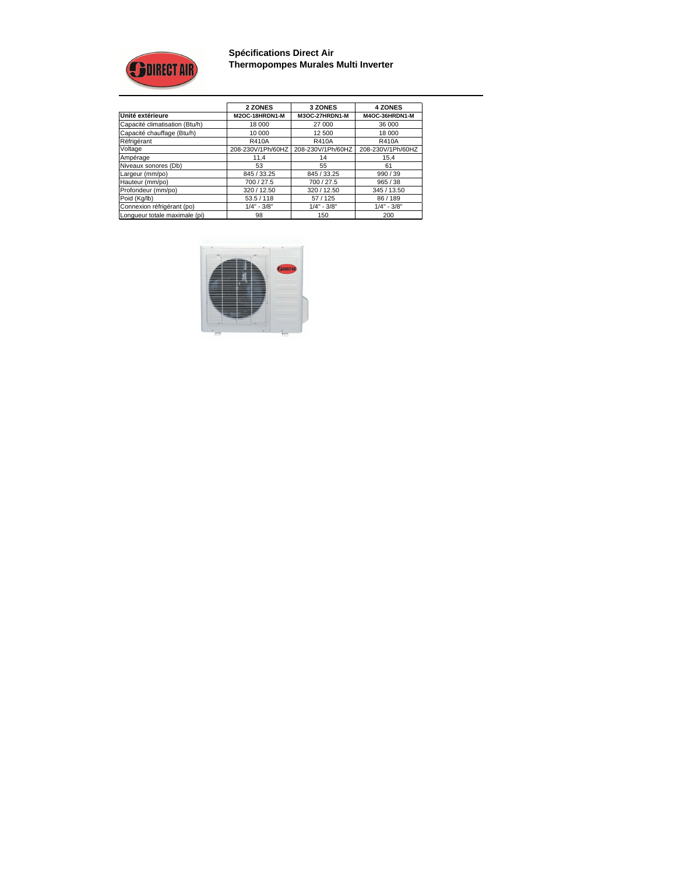

**Spécifications Direct Air Thermopompes Murales Multi Inverter**

|                                | 2 ZONES           | <b>3 ZONES</b>    | <b>4 ZONES</b>    |  |
|--------------------------------|-------------------|-------------------|-------------------|--|
| Unité extérieure               | M2OC-18HRDN1-M    | M3OC-27HRDN1-M    | M4OC-36HRDN1-M    |  |
| Capacité climatisation (Btu/h) | 18 000            | 27 000            | 36 000            |  |
| Capacité chauffage (Btu/h)     | 10 000            | 12 500            | 18 000            |  |
| Réfrigérant                    | <b>R410A</b>      | <b>R410A</b>      | <b>R410A</b>      |  |
| Voltage                        | 208-230V/1Ph/60HZ | 208-230V/1Ph/60HZ | 208-230V/1Ph/60HZ |  |
| Ampérage                       | 11,4              | 14                | 15,4              |  |
| Niveaux sonores (Db)           | 53                | 55                | 61                |  |
| Largeur (mm/po)                | 845 / 33.25       | 845 / 33.25       | 990/39            |  |
| Hauteur (mm/po)                | 700 / 27.5        | 700 / 27.5        | 965 / 38          |  |
| Profondeur (mm/po)             | 320 / 12.50       | 320 / 12.50       | 345 / 13.50       |  |
| Poid (Kg/lb)                   | 53.5/118          | 57/125            | 86/189            |  |
| Connexion réfrigérant (po)     | $1/4" - 3/8"$     | $1/4" - 3/8"$     | $1/4" - 3/8"$     |  |
| Longueur totale maximale (pi)  | 98                | 150               | 200               |  |

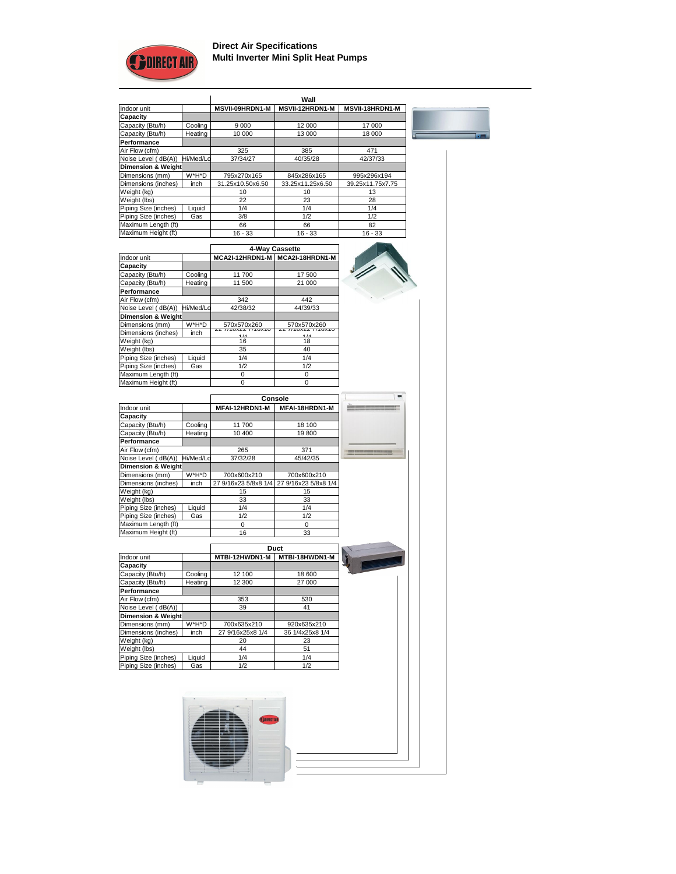

## **Direct Air Specifications Multi Inverter Mini Split Heat Pumps**

|                               |           | Wall                   |                        |                        |
|-------------------------------|-----------|------------------------|------------------------|------------------------|
| Indoor unit                   |           | <b>MSVII-09HRDN1-M</b> | <b>MSVII-12HRDN1-M</b> | <b>MSVII-18HRDN1-M</b> |
| <b>Capacity</b>               |           |                        |                        |                        |
| Capacity (Btu/h)              | Cooling   | 9 0 0 0                | 12 000                 | 17 000                 |
| Capacity (Btu/h)              | Heating   | 10 000                 | 13 000                 | 18 000                 |
| <b>Performance</b>            |           |                        |                        |                        |
| Air Flow (cfm)                |           | 325                    | 385                    | 471                    |
| Noise Level (dB(A))           | Hi/Med/Lo | 37/34/27               | 40/35/28               | 42/37/33               |
| <b>Dimension &amp; Weight</b> |           |                        |                        |                        |
| Dimensions (mm)               | W*H*D     | 795x270x165            | 845x286x165            | 995x296x194            |
| Dimensions (inches)           | inch      | 31.25x10.50x6.50       | 33.25x11.25x6.50       | 39.25x11.75x7.75       |
| Weight (kg)                   |           | 10                     | 10                     | 13                     |
| Weight (lbs)                  |           | 22                     | 23                     | 28                     |
| Piping Size (inches)          | Liquid    | 1/4                    | 1/4                    | 1/4                    |
| Piping Size (inches)          | Gas       | 3/8                    | 1/2                    | 1/2                    |
| Maximum Length (ft)           |           | 66                     | 66                     | 82                     |
| Maximum Height (ft)           |           | $16 - 33$              | $16 - 33$              | $16 - 33$              |

 $\overline{\blacksquare}$ 

|                               |           | 4-Way Cassette                |                               |  |
|-------------------------------|-----------|-------------------------------|-------------------------------|--|
| Indoor unit                   |           | MCA2I-12HRDN1-M               | MCA2I-18HRDN1-M               |  |
| <b>Capacity</b>               |           |                               |                               |  |
| Capacity (Btu/h)              | Cooling   | 11700                         | 17 500                        |  |
| Capacity (Btu/h)              | Heating   | 11500                         | 21 000                        |  |
| <b>Performance</b>            |           |                               |                               |  |
| Air Flow (cfm)                |           | 342                           | 442                           |  |
| Noise Level (dB(A))           | Hi/Med/Lo | 42/38/32                      | 44/39/33                      |  |
| <b>Dimension &amp; Weight</b> |           |                               |                               |  |
| Dimensions (mm)               | W*H*D     | 570x570x260                   | 570x570x260                   |  |
| Dimensions (inches)           | inch      | $\overline{A}$ $\overline{A}$ | $\overline{A}$ $\overline{A}$ |  |
| Weight (kg)                   |           | 16                            | 18                            |  |
| Weight (lbs)                  |           | 35                            | 40                            |  |
| Piping Size (inches)          | Liquid    | 1/4                           | 1/4                           |  |
| Piping Size (inches)          | Gas       | 1/2                           | 1/2                           |  |
| Maximum Length (ft)           |           | 0                             | 0                             |  |
| Maximum Height (ft)           |           | 0                             | 0                             |  |

|                               |           | <b>Console</b>       |                      |  |
|-------------------------------|-----------|----------------------|----------------------|--|
| Indoor unit                   |           | MFAI-12HRDN1-M       | MFAI-18HRDN1-M       |  |
| <b>Capacity</b>               |           |                      |                      |  |
| Capacity (Btu/h)              | Cooling   | 11700                | 18 100               |  |
| Capacity (Btu/h)              | Heating   | 10 400               | 19800                |  |
| <b>Performance</b>            |           |                      |                      |  |
| Air Flow (cfm)                |           | 265                  | 371                  |  |
| Noise Level (dB(A))           | Hi/Med/Lo | 37/32/28             | 45/42/35             |  |
| <b>Dimension &amp; Weight</b> |           |                      |                      |  |
| Dimensions (mm)               | W*H*D     | 700x600x210          | 700x600x210          |  |
| Dimensions (inches)           | inch      | 27 9/16x23 5/8x8 1/4 | 27 9/16x23 5/8x8 1/4 |  |
| Weight (kg)                   |           | 15                   | 15                   |  |
| Weight (lbs)                  |           | 33                   | 33                   |  |
| Piping Size (inches)          | Liquid    | 1/4                  | 1/4                  |  |
| Piping Size (inches)          | Gas       | 1/2                  | 1/2                  |  |
| Maximum Length (ft)           |           | $\boldsymbol{0}$     | $\overline{0}$       |  |
| Maximum Height (ft)           |           | 16                   | 33                   |  |
|                               |           |                      |                      |  |
|                               |           |                      | <b>Duct</b>          |  |
| Indoor unit                   |           | MTBI-12HWDN1-M       | MTBI-18HWDN1-M       |  |
| <b>Capacity</b>               |           |                      |                      |  |
| Capacity (Btu/h)              | Cooling   | 12 100               | 18 600               |  |
| Capacity (Btu/h)              | Heating   | 12 300               | 27 000               |  |
| <b>Performance</b>            |           |                      |                      |  |
| Air Flow (cfm)                |           | 353                  | 530                  |  |
| Noise Level (dB(A))           |           | 39                   | 41                   |  |
| <b>Dimension &amp; Weight</b> |           |                      |                      |  |
| Dimensions (mm)               | W*H*D     | 700x635x210          | 920x635x210          |  |
| Dimensions (inches)           | inch      | 27 9/16x25x8 1/4     | 36 1/4x25x8 1/4      |  |
| Weight (kg)                   |           | 20                   | 23                   |  |
| Weight (lbs)                  |           | 44                   | 51                   |  |
| Piping Size (inches)          | Liquid    | 1/4                  | 1/4                  |  |
| Piping Size (inches)          | Gas       | 1/2                  | 1/2                  |  |